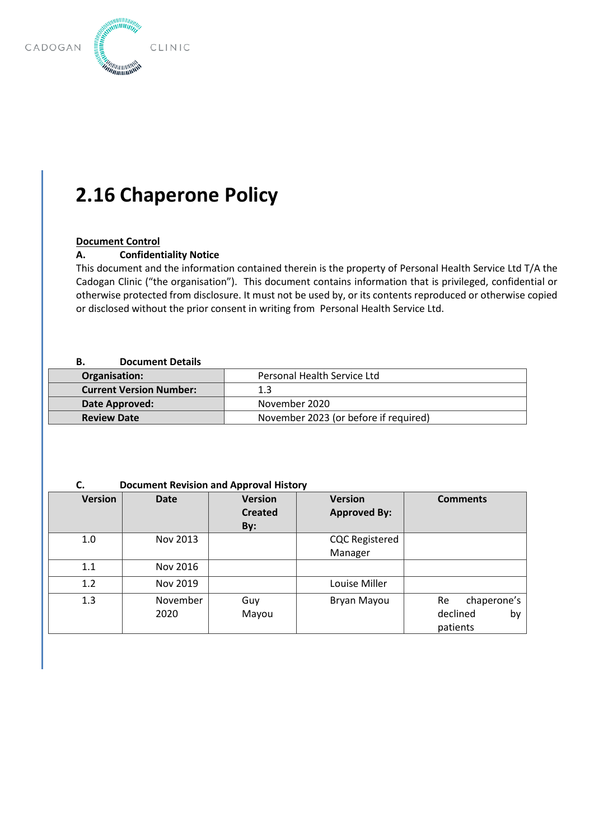

# **2.16 Chaperone Policy**

## **Document Control**

### **A. Confidentiality Notice**

This document and the information contained therein is the property of Personal Health Service Ltd T/A the Cadogan Clinic ("the organisation"). This document contains information that is privileged, confidential or otherwise protected from disclosure. It must not be used by, or its contents reproduced or otherwise copied or disclosed without the prior consent in writing from Personal Health Service Ltd.

#### **B. Document Details**

 $\begin{bmatrix} \phantom{-} \phantom{-} \ \phantom{-} \ \phantom{-} \ \phantom{-} \ \end{bmatrix}$ 

| Organisation:                  | Personal Health Service Ltd           |  |  |
|--------------------------------|---------------------------------------|--|--|
| <b>Current Version Number:</b> | 1.3                                   |  |  |
| Date Approved:                 | November 2020                         |  |  |
| <b>Review Date</b>             | November 2023 (or before if required) |  |  |

### **C. Document Revision and Approval History**

| <b>Version</b> | <b>Date</b>      | <b>Version</b><br><b>Created</b><br>By: | <b>Version</b><br><b>Approved By:</b> | <b>Comments</b>                                 |
|----------------|------------------|-----------------------------------------|---------------------------------------|-------------------------------------------------|
| 1.0            | Nov 2013         |                                         | <b>CQC Registered</b>                 |                                                 |
|                |                  |                                         | Manager                               |                                                 |
| 1.1            | Nov 2016         |                                         |                                       |                                                 |
| 1.2            | Nov 2019         |                                         | Louise Miller                         |                                                 |
| 1.3            | November<br>2020 | Guy<br>Mayou                            | Bryan Mayou                           | chaperone's<br>Re<br>declined<br>by<br>patients |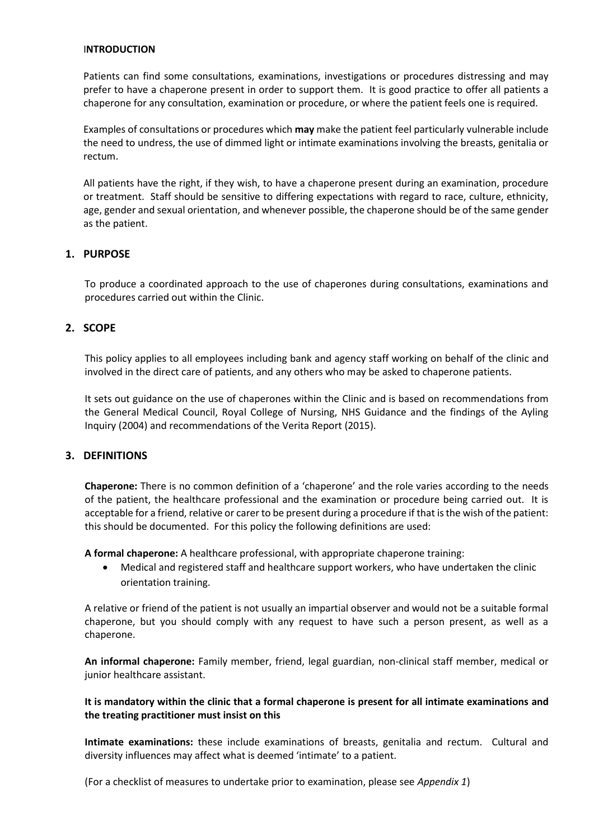#### I**NTRODUCTION**

Patients can find some consultations, examinations, investigations or procedures distressing and may prefer to have a chaperone present in order to support them. It is good practice to offer all patients a chaperone for any consultation, examination or procedure, or where the patient feels one is required.

Examples of consultations or procedures which **may** make the patient feel particularly vulnerable include the need to undress, the use of dimmed light or intimate examinations involving the breasts, genitalia or rectum.

All patients have the right, if they wish, to have a chaperone present during an examination, procedure or treatment. Staff should be sensitive to differing expectations with regard to race, culture, ethnicity, age, gender and sexual orientation, and whenever possible, the chaperone should be of the same gender as the patient.

# **1. PURPOSE**

To produce a coordinated approach to the use of chaperones during consultations, examinations and procedures carried out within the Clinic.

# **2. SCOPE**

This policy applies to all employees including bank and agency staff working on behalf of the clinic and involved in the direct care of patients, and any others who may be asked to chaperone patients.

It sets out guidance on the use of chaperones within the Clinic and is based on recommendations from the General Medical Council, Royal College of Nursing, NHS Guidance and the findings of the Ayling Inquiry (2004) and recommendations of the Verita Report (2015).

# **3. DEFINITIONS**

**Chaperone:** There is no common definition of a 'chaperone' and the role varies according to the needs of the patient, the healthcare professional and the examination or procedure being carried out. It is acceptable for a friend, relative or carer to be present during a procedure if that is the wish of the patient: this should be documented. For this policy the following definitions are used:

**A formal chaperone:** A healthcare professional, with appropriate chaperone training:

• Medical and registered staff and healthcare support workers, who have undertaken the clinic orientation training.

A relative or friend of the patient is not usually an impartial observer and would not be a suitable formal chaperone, but you should comply with any request to have such a person present, as well as a chaperone.

**An informal chaperone:** Family member, friend, legal guardian, non-clinical staff member, medical or junior healthcare assistant.

## **It is mandatory within the clinic that a formal chaperone is present for all intimate examinations and the treating practitioner must insist on this**

**Intimate examinations:** these include examinations of breasts, genitalia and rectum. Cultural and diversity influences may affect what is deemed 'intimate' to a patient.

(For a checklist of measures to undertake prior to examination, please see *Appendix 1*)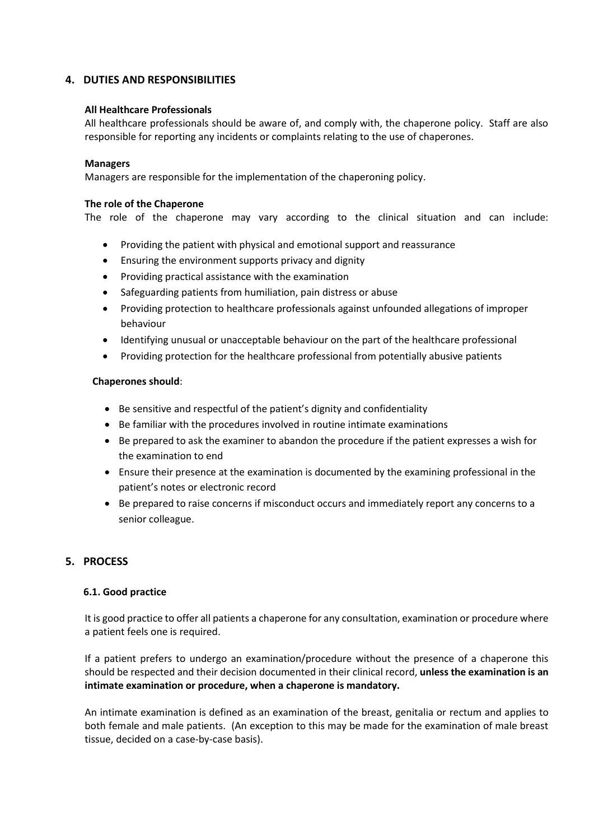# **4. DUTIES AND RESPONSIBILITIES**

#### **All Healthcare Professionals**

All healthcare professionals should be aware of, and comply with, the chaperone policy. Staff are also responsible for reporting any incidents or complaints relating to the use of chaperones.

#### **Managers**

Managers are responsible for the implementation of the chaperoning policy.

#### **The role of the Chaperone**

The role of the chaperone may vary according to the clinical situation and can include:

- Providing the patient with physical and emotional support and reassurance
- Ensuring the environment supports privacy and dignity
- Providing practical assistance with the examination
- Safeguarding patients from humiliation, pain distress or abuse
- Providing protection to healthcare professionals against unfounded allegations of improper behaviour
- Identifying unusual or unacceptable behaviour on the part of the healthcare professional
- Providing protection for the healthcare professional from potentially abusive patients

#### **Chaperones should**:

- Be sensitive and respectful of the patient's dignity and confidentiality
- Be familiar with the procedures involved in routine intimate examinations
- Be prepared to ask the examiner to abandon the procedure if the patient expresses a wish for the examination to end
- Ensure their presence at the examination is documented by the examining professional in the patient's notes or electronic record
- Be prepared to raise concerns if misconduct occurs and immediately report any concerns to a senior colleague.

# **5. PROCESS**

#### **6.1. Good practice**

It is good practice to offer all patients a chaperone for any consultation, examination or procedure where a patient feels one is required.

If a patient prefers to undergo an examination/procedure without the presence of a chaperone this should be respected and their decision documented in their clinical record, **unless the examination is an intimate examination or procedure, when a chaperone is mandatory.**

An intimate examination is defined as an examination of the breast, genitalia or rectum and applies to both female and male patients. (An exception to this may be made for the examination of male breast tissue, decided on a case-by-case basis).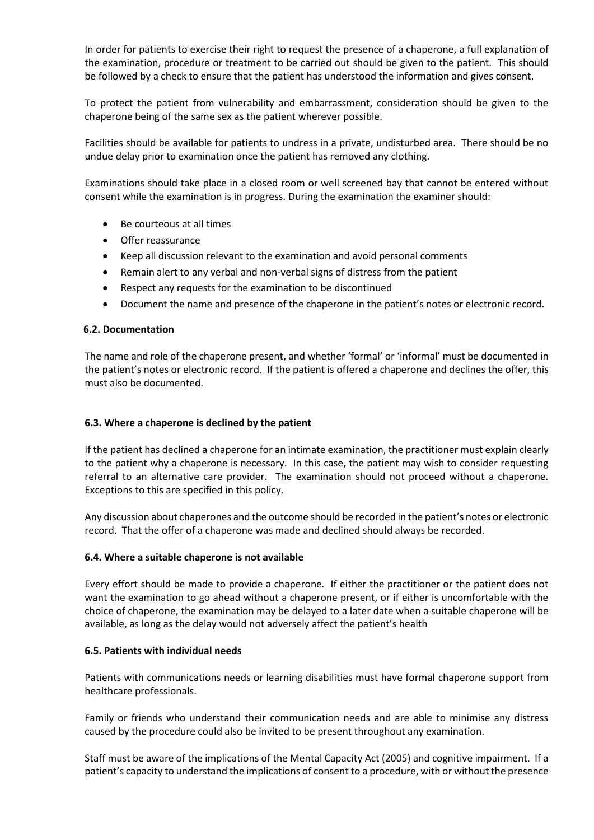In order for patients to exercise their right to request the presence of a chaperone, a full explanation of the examination, procedure or treatment to be carried out should be given to the patient. This should be followed by a check to ensure that the patient has understood the information and gives consent.

To protect the patient from vulnerability and embarrassment, consideration should be given to the chaperone being of the same sex as the patient wherever possible.

Facilities should be available for patients to undress in a private, undisturbed area. There should be no undue delay prior to examination once the patient has removed any clothing.

Examinations should take place in a closed room or well screened bay that cannot be entered without consent while the examination is in progress. During the examination the examiner should:

- Be courteous at all times
- Offer reassurance
- Keep all discussion relevant to the examination and avoid personal comments
- Remain alert to any verbal and non-verbal signs of distress from the patient
- Respect any requests for the examination to be discontinued
- Document the name and presence of the chaperone in the patient's notes or electronic record.

#### **6.2. Documentation**

The name and role of the chaperone present, and whether 'formal' or 'informal' must be documented in the patient's notes or electronic record. If the patient is offered a chaperone and declines the offer, this must also be documented.

#### **6.3. Where a chaperone is declined by the patient**

If the patient has declined a chaperone for an intimate examination, the practitioner must explain clearly to the patient why a chaperone is necessary. In this case, the patient may wish to consider requesting referral to an alternative care provider. The examination should not proceed without a chaperone. Exceptions to this are specified in this policy.

Any discussion about chaperones and the outcome should be recorded in the patient's notes or electronic record. That the offer of a chaperone was made and declined should always be recorded.

#### **6.4. Where a suitable chaperone is not available**

Every effort should be made to provide a chaperone. If either the practitioner or the patient does not want the examination to go ahead without a chaperone present, or if either is uncomfortable with the choice of chaperone, the examination may be delayed to a later date when a suitable chaperone will be available, as long as the delay would not adversely affect the patient's health

#### **6.5. Patients with individual needs**

Patients with communications needs or learning disabilities must have formal chaperone support from healthcare professionals.

Family or friends who understand their communication needs and are able to minimise any distress caused by the procedure could also be invited to be present throughout any examination.

Staff must be aware of the implications of the Mental Capacity Act (2005) and cognitive impairment. If a patient's capacity to understand the implications of consent to a procedure, with or without the presence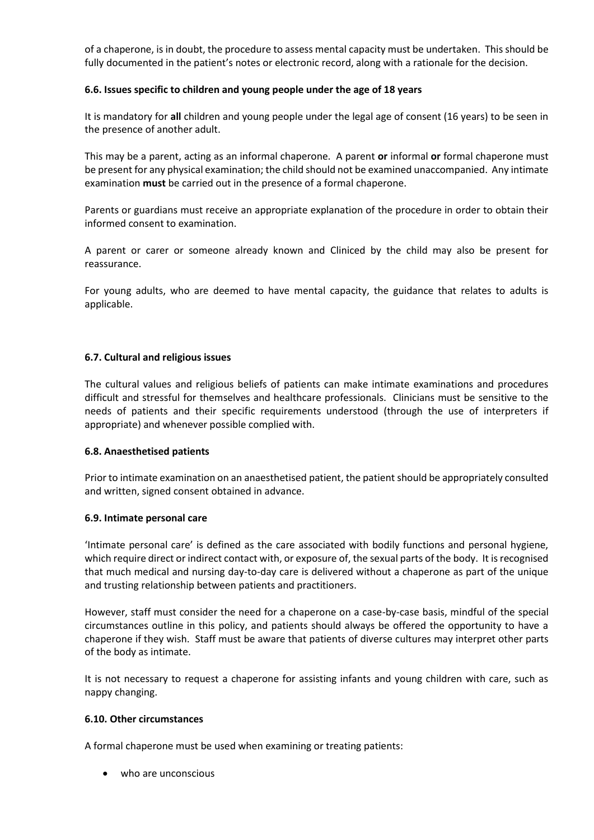of a chaperone, is in doubt, the procedure to assess mental capacity must be undertaken. This should be fully documented in the patient's notes or electronic record, along with a rationale for the decision.

### **6.6. Issues specific to children and young people under the age of 18 years**

It is mandatory for **all** children and young people under the legal age of consent (16 years) to be seen in the presence of another adult.

This may be a parent, acting as an informal chaperone. A parent **or** informal **or** formal chaperone must be present for any physical examination; the child should not be examined unaccompanied. Any intimate examination **must** be carried out in the presence of a formal chaperone.

Parents or guardians must receive an appropriate explanation of the procedure in order to obtain their informed consent to examination.

A parent or carer or someone already known and Cliniced by the child may also be present for reassurance.

For young adults, who are deemed to have mental capacity, the guidance that relates to adults is applicable.

## **6.7. Cultural and religious issues**

The cultural values and religious beliefs of patients can make intimate examinations and procedures difficult and stressful for themselves and healthcare professionals. Clinicians must be sensitive to the needs of patients and their specific requirements understood (through the use of interpreters if appropriate) and whenever possible complied with.

#### **6.8. Anaesthetised patients**

Prior to intimate examination on an anaesthetised patient, the patient should be appropriately consulted and written, signed consent obtained in advance.

#### **6.9. Intimate personal care**

'Intimate personal care' is defined as the care associated with bodily functions and personal hygiene, which require direct or indirect contact with, or exposure of, the sexual parts of the body. It is recognised that much medical and nursing day-to-day care is delivered without a chaperone as part of the unique and trusting relationship between patients and practitioners.

However, staff must consider the need for a chaperone on a case-by-case basis, mindful of the special circumstances outline in this policy, and patients should always be offered the opportunity to have a chaperone if they wish. Staff must be aware that patients of diverse cultures may interpret other parts of the body as intimate.

It is not necessary to request a chaperone for assisting infants and young children with care, such as nappy changing.

#### **6.10. Other circumstances**

A formal chaperone must be used when examining or treating patients:

• who are unconscious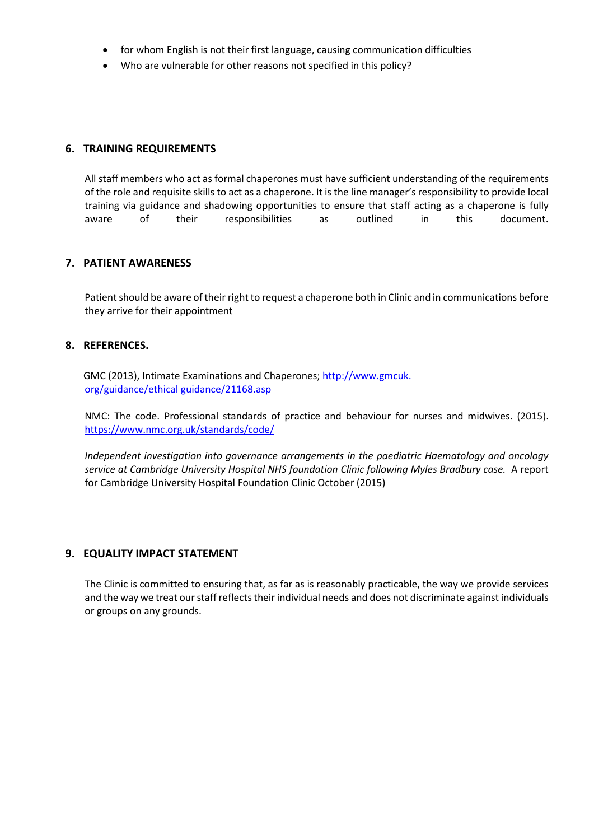- for whom English is not their first language, causing communication difficulties
- Who are vulnerable for other reasons not specified in this policy?

## **6. TRAINING REQUIREMENTS**

All staff members who act as formal chaperones must have sufficient understanding of the requirements of the role and requisite skills to act as a chaperone. It is the line manager's responsibility to provide local training via guidance and shadowing opportunities to ensure that staff acting as a chaperone is fully aware of their responsibilities as outlined in this document.

## **7. PATIENT AWARENESS**

Patient should be aware of their right to request a chaperone both in Clinic and in communications before they arrive for their appointment

#### **8. REFERENCES.**

GMC (2013), Intimate Examinations and Chaperones; http://www.gmcuk. org/guidance/ethical guidance/21168.asp

NMC: The code. Professional standards of practice and behaviour for nurses and midwives. (2015). <https://www.nmc.org.uk/standards/code/>

*Independent investigation into governance arrangements in the paediatric Haematology and oncology service at Cambridge University Hospital NHS foundation Clinic following Myles Bradbury case.* A report for Cambridge University Hospital Foundation Clinic October (2015)

#### **9. EQUALITY IMPACT STATEMENT**

The Clinic is committed to ensuring that, as far as is reasonably practicable, the way we provide services and the way we treat our staff reflects their individual needs and does not discriminate against individuals or groups on any grounds.